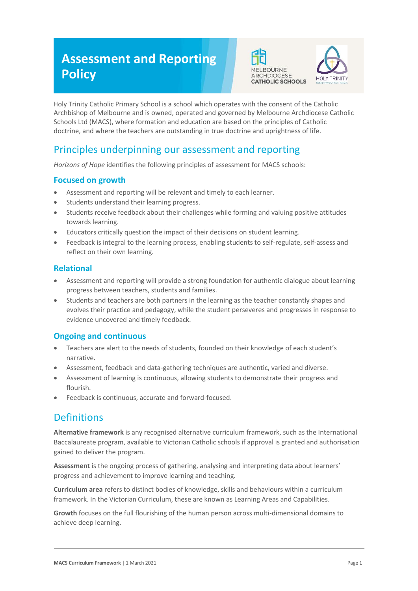# **Assessment and Reporting Policy**





Holy Trinity Catholic Primary School is a school which operates with the consent of the Catholic Archbishop of Melbourne and is owned, operated and governed by Melbourne Archdiocese Catholic Schools Ltd (MACS), where formation and education are based on the principles of Catholic doctrine, and where the teachers are outstanding in true doctrine and uprightness of life.

# Principles underpinning our assessment and reporting

*Horizons of Hope* identifies the following principles of assessment for MACS schools:

### **Focused on growth**

- Assessment and reporting will be relevant and timely to each learner.
- Students understand their learning progress.
- Students receive feedback about their challenges while forming and valuing positive attitudes towards learning.
- Educators critically question the impact of their decisions on student learning.
- Feedback is integral to the learning process, enabling students to self-regulate, self-assess and reflect on their own learning.

#### **Relational**

- Assessment and reporting will provide a strong foundation for authentic dialogue about learning progress between teachers, students and families.
- Students and teachers are both partners in the learning as the teacher constantly shapes and evolves their practice and pedagogy, while the student perseveres and progresses in response to evidence uncovered and timely feedback.

#### **Ongoing and continuous**

- Teachers are alert to the needs of students, founded on their knowledge of each student's narrative.
- Assessment, feedback and data-gathering techniques are authentic, varied and diverse.
- Assessment of learning is continuous, allowing students to demonstrate their progress and flourish.
- Feedback is continuous, accurate and forward-focused.

## **Definitions**

**Alternative framework** is any recognised alternative curriculum framework, such as the International Baccalaureate program, available to Victorian Catholic schools if approval is granted and authorisation gained to deliver the program.

**Assessment** is the ongoing process of gathering, analysing and interpreting data about learners' progress and achievement to improve learning and teaching.

**Curriculum area** refers to distinct bodies of knowledge, skills and behaviours within a curriculum framework. In the Victorian Curriculum, these are known as Learning Areas and Capabilities.

**Growth** focuses on the full flourishing of the human person across multi-dimensional domains to achieve deep learning.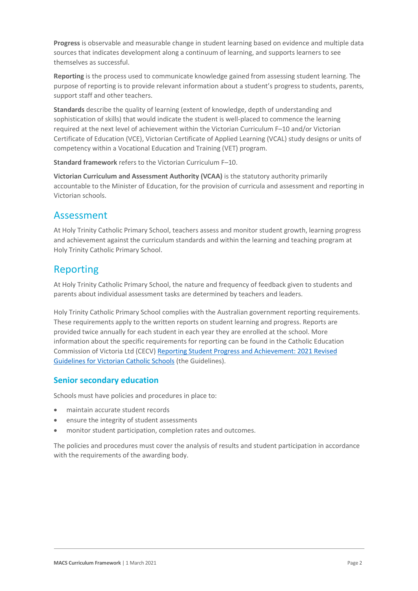**Progress** is observable and measurable change in student learning based on evidence and multiple data sources that indicates development along a continuum of learning, and supports learners to see themselves as successful.

**Reporting** is the process used to communicate knowledge gained from assessing student learning. The purpose of reporting is to provide relevant information about a student's progress to students, parents, support staff and other teachers.

**Standards** describe the quality of learning (extent of knowledge, depth of understanding and sophistication of skills) that would indicate the student is well-placed to commence the learning required at the next level of achievement within the Victorian Curriculum F–10 and/or Victorian Certificate of Education (VCE), Victorian Certificate of Applied Learning (VCAL) study designs or units of competency within a Vocational Education and Training (VET) program.

**Standard framework** refers to the Victorian Curriculum F–10.

**Victorian Curriculum and Assessment Authority (VCAA)** is the statutory authority primarily accountable to the Minister of Education, for the provision of curricula and assessment and reporting in Victorian schools.

## Assessment

At Holy Trinity Catholic Primary School, teachers assess and monitor student growth, learning progress and achievement against the curriculum standards and within the learning and teaching program at Holy Trinity Catholic Primary School.

## Reporting

At Holy Trinity Catholic Primary School, the nature and frequency of feedback given to students and parents about individual assessment tasks are determined by teachers and leaders.

Holy Trinity Catholic Primary School complies with the Australian government reporting requirements. These requirements apply to the written reports on student learning and progress. Reports are provided twice annually for each student in each year they are enrolled at the school. More information about the specific requirements for reporting can be found in the Catholic Education Commission of Victoria Ltd (CECV) [Reporting Student Progress and Achievement: 2021 Revised](https://cevn.cecv.catholic.edu.au/MelbourneDiocese/Document-File/Curriculum/Reporting/CECV-2019-Revised-Student-Reporting-Guidelines.aspx)  [Guidelines for Victorian Catholic Schools](https://cevn.cecv.catholic.edu.au/MelbourneDiocese/Document-File/Curriculum/Reporting/CECV-2019-Revised-Student-Reporting-Guidelines.aspx) (the Guidelines).

#### **Senior secondary education**

Schools must have policies and procedures in place to:

- maintain accurate student records
- ensure the integrity of student assessments
- monitor student participation, completion rates and outcomes.

The policies and procedures must cover the analysis of results and student participation in accordance with the requirements of the awarding body.